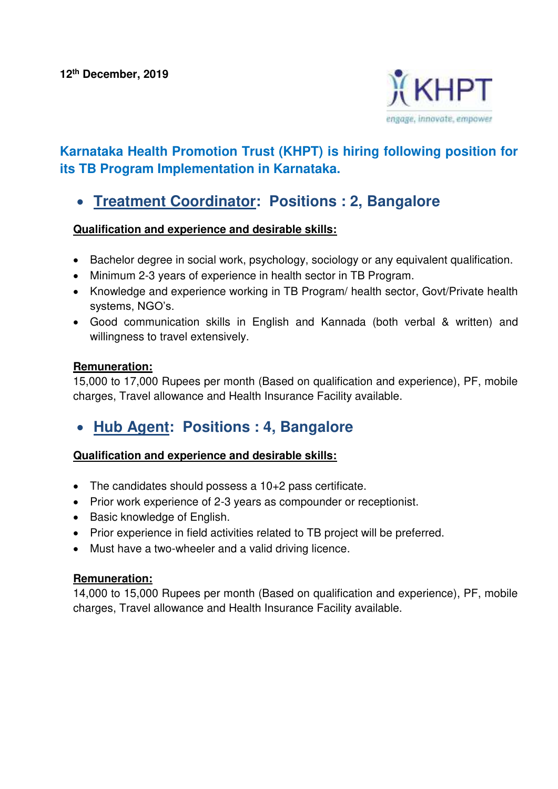

# **Karnataka Health Promotion Trust (KHPT) is hiring following position for its TB Program Implementation in Karnataka.**

**Treatment Coordinator: Positions : 2, Bangalore** 

## **Qualification and experience and desirable skills:**

- Bachelor degree in social work, psychology, sociology or any equivalent qualification.
- Minimum 2-3 years of experience in health sector in TB Program.
- Knowledge and experience working in TB Program/ health sector, Govt/Private health systems, NGO's.
- Good communication skills in English and Kannada (both verbal & written) and willingness to travel extensively.

## **Remuneration:**

15,000 to 17,000 Rupees per month (Based on qualification and experience), PF, mobile charges, Travel allowance and Health Insurance Facility available.

## **Hub Agent: Positions : 4, Bangalore**

#### **Qualification and experience and desirable skills:**

- The candidates should possess a 10+2 pass certificate.
- Prior work experience of 2-3 years as compounder or receptionist.
- Basic knowledge of English.
- Prior experience in field activities related to TB project will be preferred.
- Must have a two-wheeler and a valid driving licence.

### **Remuneration:**

14,000 to 15,000 Rupees per month (Based on qualification and experience), PF, mobile charges, Travel allowance and Health Insurance Facility available.